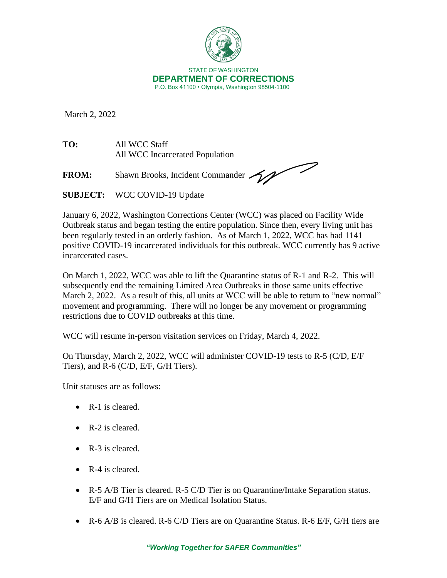

March 2, 2022

**TO:** All WCC Staff All WCC Incarcerated Population

FROM: Shawn Brooks, Incident Commander

**SUBJECT:** WCC COVID-19 Update

January 6, 2022, Washington Corrections Center (WCC) was placed on Facility Wide Outbreak status and began testing the entire population. Since then, every living unit has been regularly tested in an orderly fashion. As of March 1, 2022, WCC has had 1141 positive COVID-19 incarcerated individuals for this outbreak. WCC currently has 9 active incarcerated cases.

On March 1, 2022, WCC was able to lift the Quarantine status of R-1 and R-2. This will subsequently end the remaining Limited Area Outbreaks in those same units effective March 2, 2022. As a result of this, all units at WCC will be able to return to "new normal" movement and programming. There will no longer be any movement or programming restrictions due to COVID outbreaks at this time.

WCC will resume in-person visitation services on Friday, March 4, 2022.

On Thursday, March 2, 2022, WCC will administer COVID-19 tests to R-5 (C/D, E/F Tiers), and R-6 (C/D, E/F, G/H Tiers).

Unit statuses are as follows:

- R-1 is cleared.
- R-2 is cleared.
- R-3 is cleared.
- R-4 is cleared.
- R-5 A/B Tier is cleared. R-5 C/D Tier is on Quarantine/Intake Separation status. E/F and G/H Tiers are on Medical Isolation Status.
- R-6 A/B is cleared. R-6 C/D Tiers are on Quarantine Status. R-6 E/F, G/H tiers are